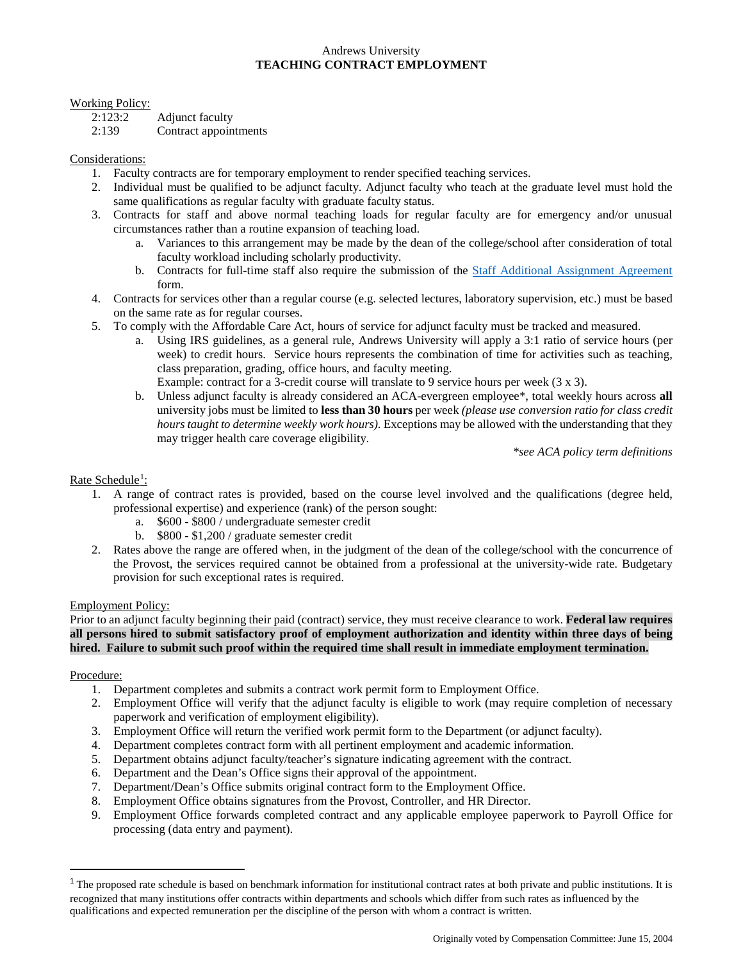# Andrews University **TEACHING CONTRACT EMPLOYMENT**

#### Working Policy:

2:123:2 Adjunct faculty

2:139 Contract appointments

## Considerations:

- 1. Faculty contracts are for temporary employment to render specified teaching services.
- 2. Individual must be qualified to be adjunct faculty. Adjunct faculty who teach at the graduate level must hold the same qualifications as regular faculty with graduate faculty status.
- 3. Contracts for staff and above normal teaching loads for regular faculty are for emergency and/or unusual circumstances rather than a routine expansion of teaching load.
	- a. Variances to this arrangement may be made by the dean of the college/school after consideration of total faculty workload including scholarly productivity.
	- b. Contracts for full-time staff also require the submission of the [Staff Additional Assignment](http://www.andrews.edu/services/hr/documents/employment/staffagreement.pdf) Agreement form.
- 4. Contracts for services other than a regular course (e.g. selected lectures, laboratory supervision, etc.) must be based on the same rate as for regular courses.
- 5. To comply with the Affordable Care Act, hours of service for adjunct faculty must be tracked and measured.
	- a. Using IRS guidelines, as a general rule, Andrews University will apply a 3:1 ratio of service hours (per week) to credit hours. Service hours represents the combination of time for activities such as teaching, class preparation, grading, office hours, and faculty meeting.
	- Example: contract for a 3-credit course will translate to 9 service hours per week (3 x 3).
	- b. Unless adjunct faculty is already considered an ACA-evergreen employee\*, total weekly hours across **all** university jobs must be limited to **less than 30 hours** per week *(please use conversion ratio for class credit hours taught to determine weekly work hours)*. Exceptions may be allowed with the understanding that they may trigger health care coverage eligibility.

*\*see ACA policy term definitions*

## Rate Schedule<sup>[1](#page-0-0)</sup>:

- 1. A range of contract rates is provided, based on the course level involved and the qualifications (degree held, professional expertise) and experience (rank) of the person sought:
	- a. \$600 \$800 / undergraduate semester credit
	- b. \$800 \$1,200 / graduate semester credit
- 2. Rates above the range are offered when, in the judgment of the dean of the college/school with the concurrence of the Provost, the services required cannot be obtained from a professional at the university-wide rate. Budgetary provision for such exceptional rates is required.

#### Employment Policy:

Prior to an adjunct faculty beginning their paid (contract) service, they must receive clearance to work. **Federal law requires all persons hired to submit satisfactory proof of employment authorization and identity within three days of being hired. Failure to submit such proof within the required time shall result in immediate employment termination.**

#### Procedure:

- 1. Department completes and submits a contract work permit form to Employment Office.
- 2. Employment Office will verify that the adjunct faculty is eligible to work (may require completion of necessary paperwork and verification of employment eligibility).
- 3. Employment Office will return the verified work permit form to the Department (or adjunct faculty).
- 4. Department completes contract form with all pertinent employment and academic information.
- 5. Department obtains adjunct faculty/teacher's signature indicating agreement with the contract.
- 6. Department and the Dean's Office signs their approval of the appointment.
- 7. Department/Dean's Office submits original contract form to the Employment Office.
- 8. Employment Office obtains signatures from the Provost, Controller, and HR Director.
- 9. Employment Office forwards completed contract and any applicable employee paperwork to Payroll Office for processing (data entry and payment).

<span id="page-0-0"></span> $1$  The proposed rate schedule is based on benchmark information for institutional contract rates at both private and public institutions. It is recognized that many institutions offer contracts within departments and schools which differ from such rates as influenced by the qualifications and expected remuneration per the discipline of the person with whom a contract is written.